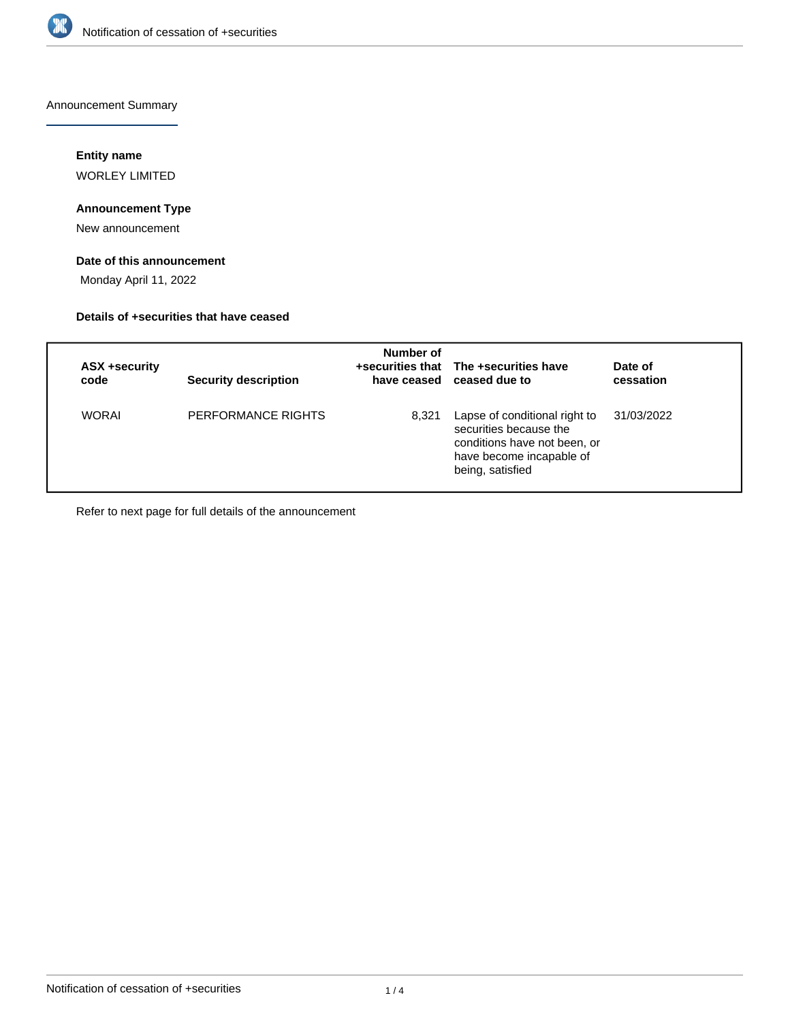

Announcement Summary

## **Entity name**

WORLEY LIMITED

# **Announcement Type**

New announcement

# **Date of this announcement**

Monday April 11, 2022

### **Details of +securities that have ceased**

| ASX +security<br>code | <b>Security description</b> | Number of | +securities that The +securities have<br>have ceased ceased due to                                                                      | Date of<br>cessation |
|-----------------------|-----------------------------|-----------|-----------------------------------------------------------------------------------------------------------------------------------------|----------------------|
| <b>WORAI</b>          | PERFORMANCE RIGHTS          | 8,321     | Lapse of conditional right to<br>securities because the<br>conditions have not been, or<br>have become incapable of<br>being, satisfied | 31/03/2022           |

Refer to next page for full details of the announcement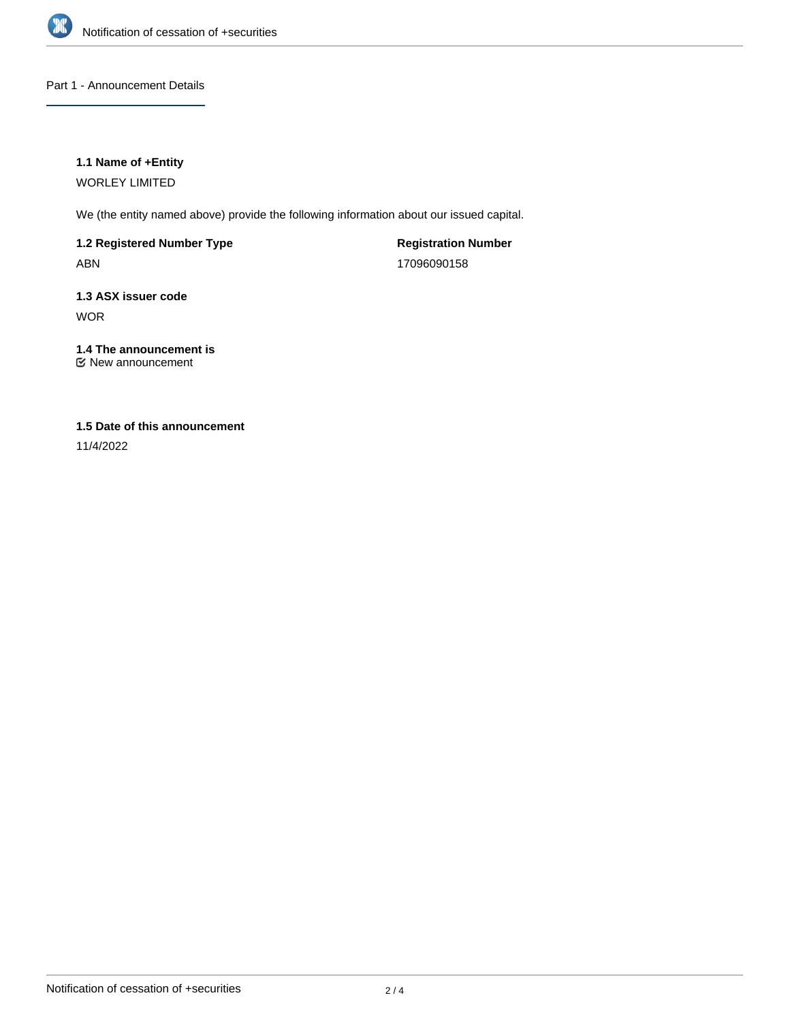

Part 1 - Announcement Details

## **1.1 Name of +Entity**

WORLEY LIMITED

We (the entity named above) provide the following information about our issued capital.

**1.2 Registered Number Type** ABN

**Registration Number** 17096090158

**1.3 ASX issuer code** WOR

**1.4 The announcement is** New announcement

# **1.5 Date of this announcement**

11/4/2022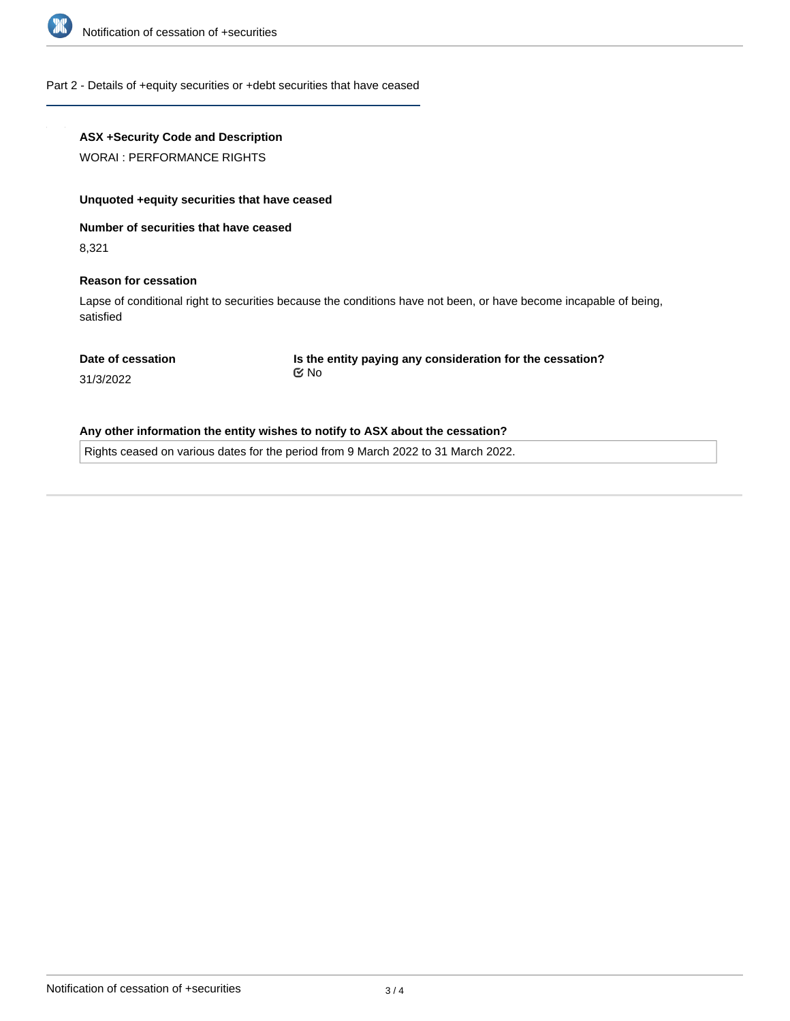

### Part 2 - Details of +equity securities or +debt securities that have ceased

## **ASX +Security Code and Description**

WORAI : PERFORMANCE RIGHTS

#### **Unquoted +equity securities that have ceased**

**Number of securities that have ceased**

8,321

#### **Reason for cessation**

Lapse of conditional right to securities because the conditions have not been, or have become incapable of being, satisfied

#### **Date of cessation**

**Is the entity paying any consideration for the cessation?** No

31/3/2022

### **Any other information the entity wishes to notify to ASX about the cessation?**

Rights ceased on various dates for the period from 9 March 2022 to 31 March 2022.